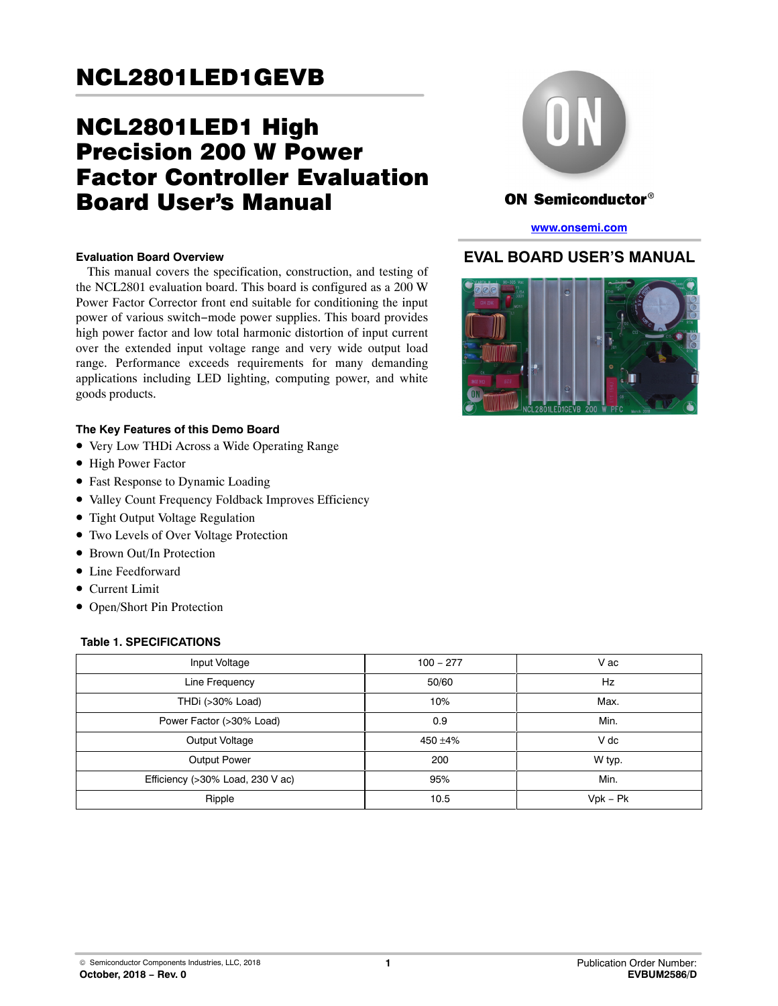# NCL2801LED1 High Precision 200 W Power Factor Controller Evaluation Board User's Manual

#### **Evaluation Board Overview**

This manual covers the specification, construction, and testing of the NCL2801 evaluation board. This board is configured as a 200 W Power Factor Corrector front end suitable for conditioning the input power of various switch−mode power supplies. This board provides high power factor and low total harmonic distortion of input current over the extended input voltage range and very wide output load range. Performance exceeds requirements for many demanding applications including LED lighting, computing power, and white goods products.

#### **The Key Features of this Demo Board**

- Very Low THDi Across a Wide Operating Range
- High Power Factor
- Fast Response to Dynamic Loading
- Valley Count Frequency Foldback Improves Efficiency
- Tight Output Voltage Regulation
- Two Levels of Over Voltage Protection
- Brown Out/In Protection
- Line Feedforward
- Current Limit
- Open/Short Pin Protection

#### **Table 1. SPECIFICATIONS**





## ON Semiconductor®

**[www.onsemi.com](http://www.onsemi.com/)**

## **EVAL BOARD USER'S MANUAL**

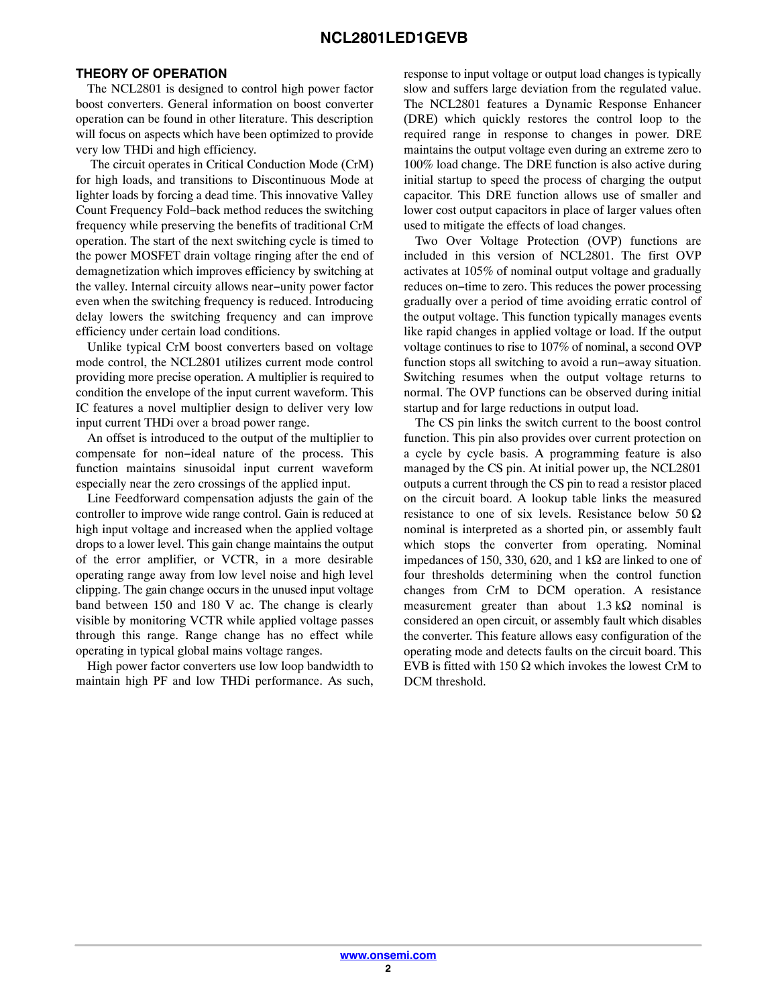#### **THEORY OF OPERATION**

The NCL2801 is designed to control high power factor boost converters. General information on boost converter operation can be found in other literature. This description will focus on aspects which have been optimized to provide very low THDi and high efficiency.

 The circuit operates in Critical Conduction Mode (CrM) for high loads, and transitions to Discontinuous Mode at lighter loads by forcing a dead time. This innovative Valley Count Frequency Fold−back method reduces the switching frequency while preserving the benefits of traditional CrM operation. The start of the next switching cycle is timed to the power MOSFET drain voltage ringing after the end of demagnetization which improves efficiency by switching at the valley. Internal circuity allows near−unity power factor even when the switching frequency is reduced. Introducing delay lowers the switching frequency and can improve efficiency under certain load conditions.

Unlike typical CrM boost converters based on voltage mode control, the NCL2801 utilizes current mode control providing more precise operation. A multiplier is required to condition the envelope of the input current waveform. This IC features a novel multiplier design to deliver very low input current THDi over a broad power range.

An offset is introduced to the output of the multiplier to compensate for non−ideal nature of the process. This function maintains sinusoidal input current waveform especially near the zero crossings of the applied input.

Line Feedforward compensation adjusts the gain of the controller to improve wide range control. Gain is reduced at high input voltage and increased when the applied voltage drops to a lower level. This gain change maintains the output of the error amplifier, or VCTR, in a more desirable operating range away from low level noise and high level clipping. The gain change occurs in the unused input voltage band between 150 and 180 V ac. The change is clearly visible by monitoring VCTR while applied voltage passes through this range. Range change has no effect while operating in typical global mains voltage ranges.

High power factor converters use low loop bandwidth to maintain high PF and low THDi performance. As such, response to input voltage or output load changes is typically slow and suffers large deviation from the regulated value. The NCL2801 features a Dynamic Response Enhancer (DRE) which quickly restores the control loop to the required range in response to changes in power. DRE maintains the output voltage even during an extreme zero to 100% load change. The DRE function is also active during initial startup to speed the process of charging the output capacitor. This DRE function allows use of smaller and lower cost output capacitors in place of larger values often used to mitigate the effects of load changes.

Two Over Voltage Protection (OVP) functions are included in this version of NCL2801. The first OVP activates at 105% of nominal output voltage and gradually reduces on−time to zero. This reduces the power processing gradually over a period of time avoiding erratic control of the output voltage. This function typically manages events like rapid changes in applied voltage or load. If the output voltage continues to rise to 107% of nominal, a second OVP function stops all switching to avoid a run−away situation. Switching resumes when the output voltage returns to normal. The OVP functions can be observed during initial startup and for large reductions in output load.

The CS pin links the switch current to the boost control function. This pin also provides over current protection on a cycle by cycle basis. A programming feature is also managed by the CS pin. At initial power up, the NCL2801 outputs a current through the CS pin to read a resistor placed on the circuit board. A lookup table links the measured resistance to one of six levels. Resistance below 50  $\Omega$ nominal is interpreted as a shorted pin, or assembly fault which stops the converter from operating. Nominal impedances of 150, 330, 620, and 1 k $\Omega$  are linked to one of four thresholds determining when the control function changes from CrM to DCM operation. A resistance measurement greater than about  $1.3 \text{ k}\Omega$  nominal is considered an open circuit, or assembly fault which disables the converter. This feature allows easy configuration of the operating mode and detects faults on the circuit board. This EVB is fitted with 150  $\Omega$  which invokes the lowest CrM to DCM threshold.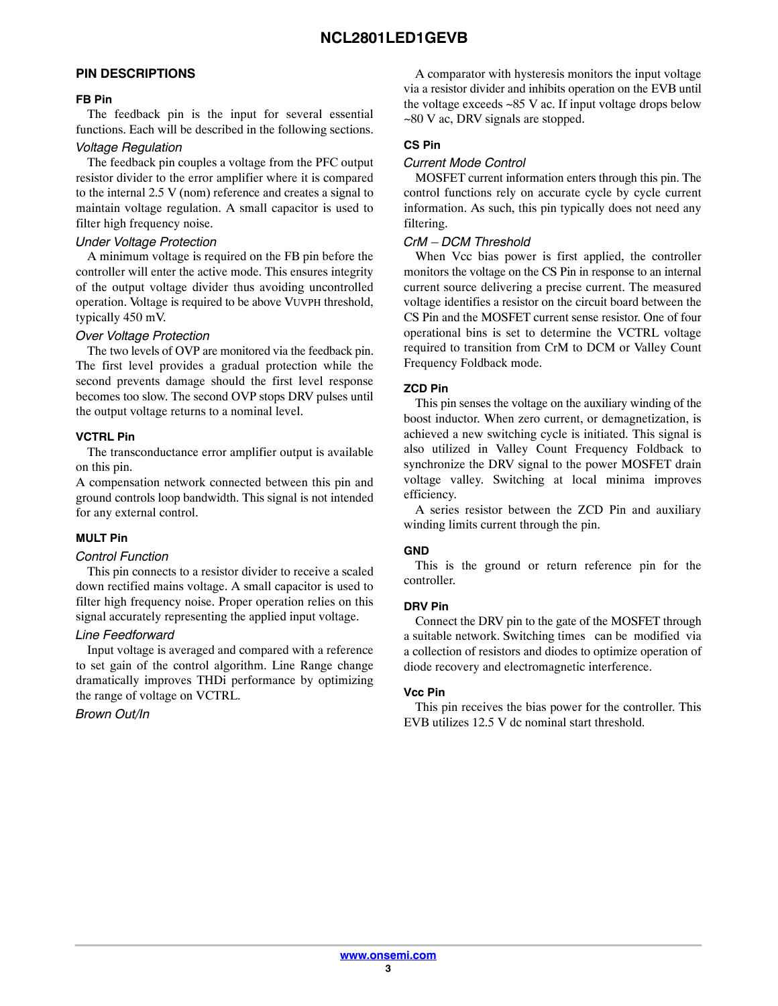#### **PIN DESCRIPTIONS**

#### **FB Pin**

The feedback pin is the input for several essential functions. Each will be described in the following sections.

#### *Voltage Regulation*

The feedback pin couples a voltage from the PFC output resistor divider to the error amplifier where it is compared to the internal 2.5 V (nom) reference and creates a signal to maintain voltage regulation. A small capacitor is used to filter high frequency noise.

#### *Under Voltage Protection*

A minimum voltage is required on the FB pin before the controller will enter the active mode. This ensures integrity of the output voltage divider thus avoiding uncontrolled operation. Voltage is required to be above VUVPH threshold, typically 450 mV.

#### *Over Voltage Protection*

The two levels of OVP are monitored via the feedback pin. The first level provides a gradual protection while the second prevents damage should the first level response becomes too slow. The second OVP stops DRV pulses until the output voltage returns to a nominal level.

#### **VCTRL Pin**

The transconductance error amplifier output is available on this pin.

A compensation network connected between this pin and ground controls loop bandwidth. This signal is not intended for any external control.

#### **MULT Pin**

#### *Control Function*

This pin connects to a resistor divider to receive a scaled down rectified mains voltage. A small capacitor is used to filter high frequency noise. Proper operation relies on this signal accurately representing the applied input voltage.

#### *Line Feedforward*

Input voltage is averaged and compared with a reference to set gain of the control algorithm. Line Range change dramatically improves THDi performance by optimizing the range of voltage on VCTRL.

#### *Brown Out/In*

A comparator with hysteresis monitors the input voltage via a resistor divider and inhibits operation on the EVB until the voltage exceeds ~85 V ac. If input voltage drops below ~80 V ac, DRV signals are stopped.

### **CS Pin**

#### *Current Mode Control*

MOSFET current information enters through this pin. The control functions rely on accurate cycle by cycle current information. As such, this pin typically does not need any filtering.

#### *CrM – DCM Threshold*

When Vcc bias power is first applied, the controller monitors the voltage on the CS Pin in response to an internal current source delivering a precise current. The measured voltage identifies a resistor on the circuit board between the CS Pin and the MOSFET current sense resistor. One of four operational bins is set to determine the VCTRL voltage required to transition from CrM to DCM or Valley Count Frequency Foldback mode.

#### **ZCD Pin**

This pin senses the voltage on the auxiliary winding of the boost inductor. When zero current, or demagnetization, is achieved a new switching cycle is initiated. This signal is also utilized in Valley Count Frequency Foldback to synchronize the DRV signal to the power MOSFET drain voltage valley. Switching at local minima improves efficiency.

A series resistor between the ZCD Pin and auxiliary winding limits current through the pin.

#### **GND**

This is the ground or return reference pin for the controller.

#### **DRV Pin**

Connect the DRV pin to the gate of the MOSFET through a suitable network. Switching times can be modified via a collection of resistors and diodes to optimize operation of diode recovery and electromagnetic interference.

#### **Vcc Pin**

This pin receives the bias power for the controller. This EVB utilizes 12.5 V dc nominal start threshold.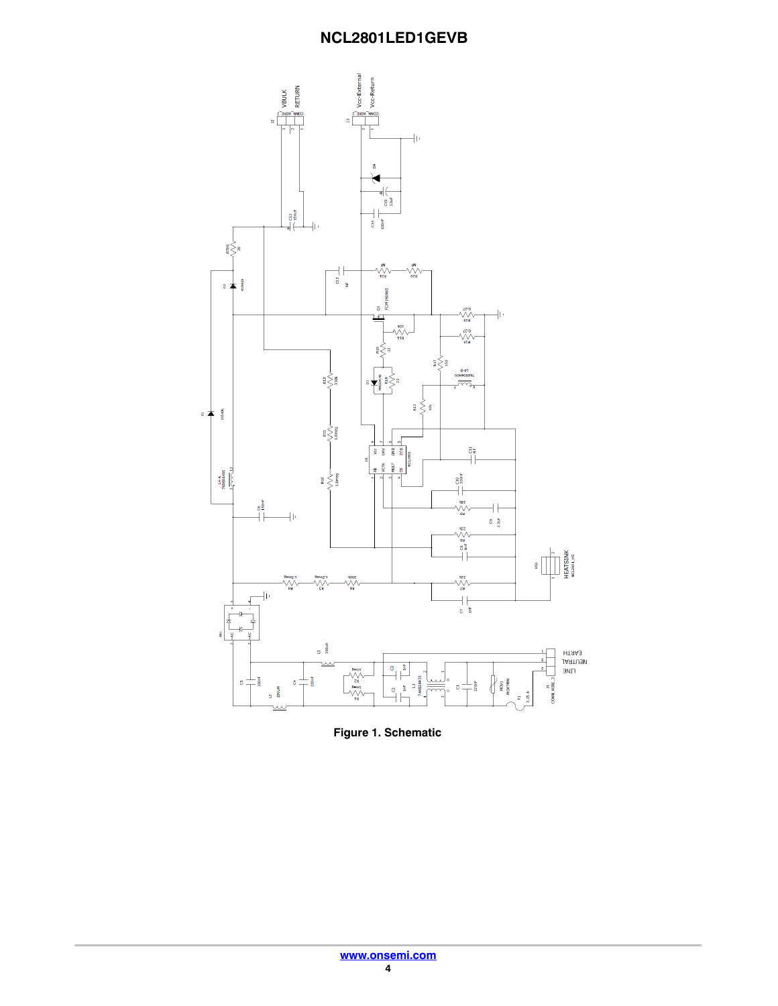

**Figure 1. Schematic**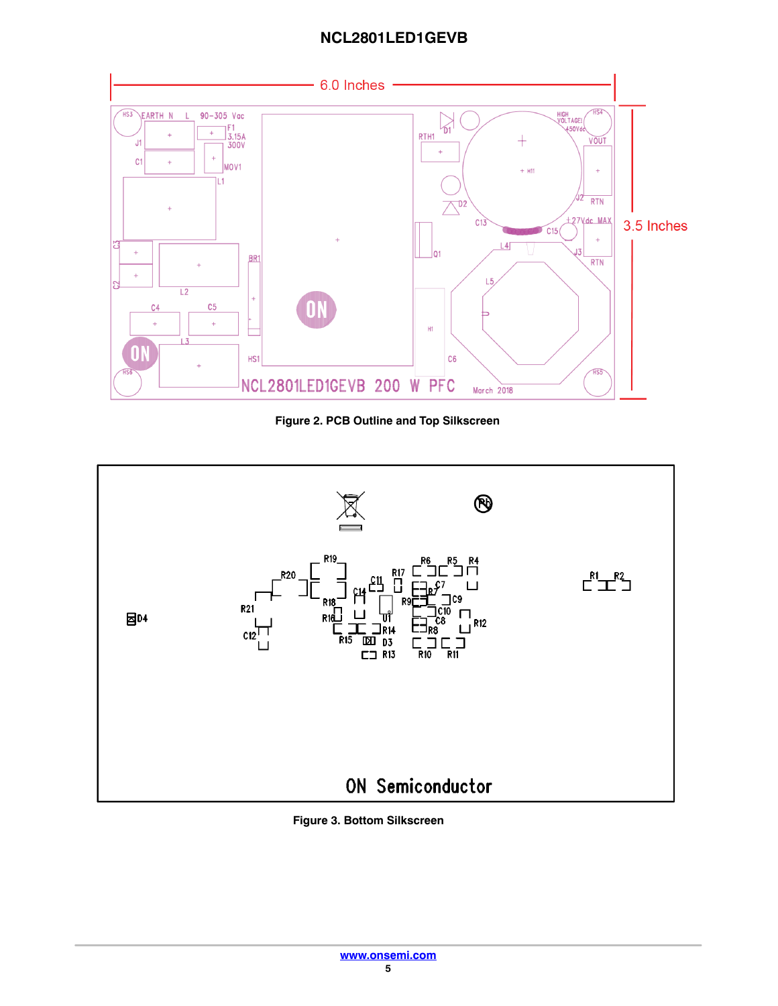

**Figure 2. PCB Outline and Top Silkscreen**



**Figure 3. Bottom Silkscreen**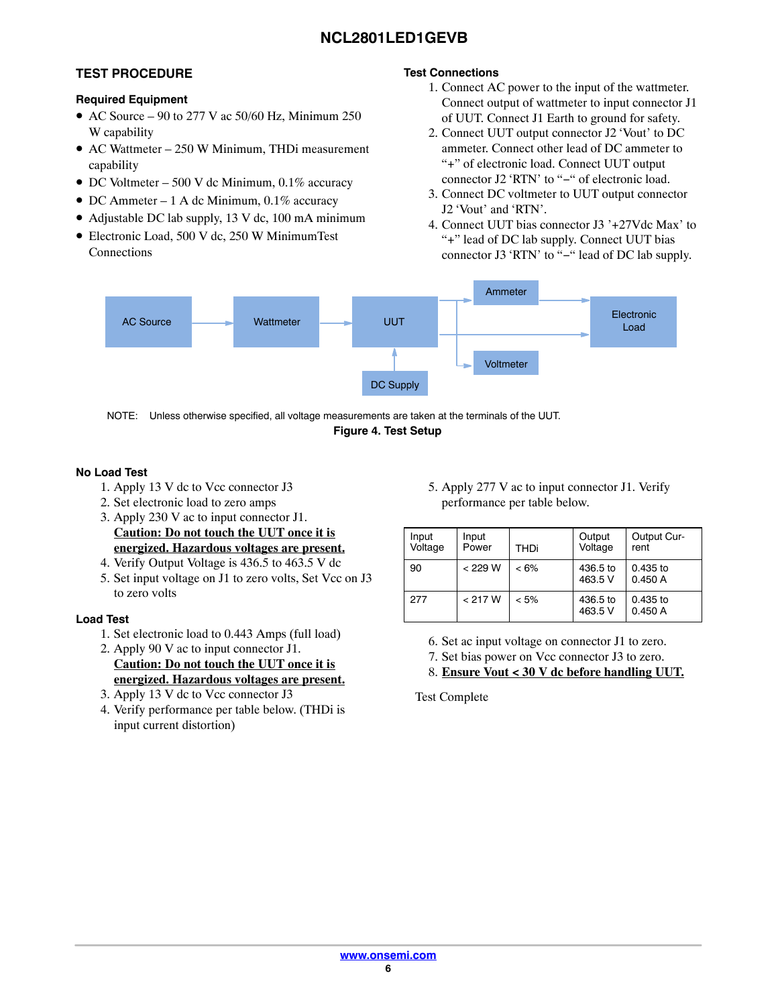# **TEST PROCEDURE**

#### **Required Equipment**

- AC Source 90 to 277 V ac  $50/60$  Hz, Minimum 250 W capability
- AC Wattmeter 250 W Minimum, THDi measurement capability
- DC Voltmeter 500 V dc Minimum, 0.1% accuracy
- DC Ammeter 1 A dc Minimum, 0.1% accuracy
- Adjustable DC lab supply, 13 V dc, 100 mA minimum
- Electronic Load, 500 V dc, 250 W MinimumTest Connections

### **Test Connections**

- 1. Connect AC power to the input of the wattmeter. Connect output of wattmeter to input connector J1 of UUT. Connect J1 Earth to ground for safety.
- 2. Connect UUT output connector J2 Vout' to DC ammeter. Connect other lead of DC ammeter to "+" of electronic load. Connect UUT output connector J2 RTN' to "−" of electronic load.
- 3. Connect DC voltmeter to UUT output connector J2 'Vout' and 'RTN'.
- 4. Connect UUT bias connector J3 '+27Vdc Max' to "+" lead of DC lab supply. Connect UUT bias connector J3 'RTN' to "−" lead of DC lab supply.



**Figure 4. Test Setup** NOTE: Unless otherwise specified, all voltage measurements are taken at the terminals of the UUT.

#### **No Load Test**

- 1. Apply 13 V dc to Vcc connector J3
- 2. Set electronic load to zero amps
- 3. Apply 230 V ac to input connector J1. **Caution: Do not touch the UUT once it is energized. Hazardous voltages are present.**
- 4. Verify Output Voltage is 436.5 to 463.5 V dc
- 5. Set input voltage on J1 to zero volts, Set Vcc on J3 to zero volts

#### **Load Test**

- 1. Set electronic load to 0.443 Amps (full load)
- 2. Apply 90 V ac to input connector J1. **Caution: Do not touch the UUT once it is energized. Hazardous voltages are present.**
- 3. Apply 13 V dc to Vcc connector J3
- 4. Verify performance per table below. (THDi is input current distortion)

5. Apply 277 V ac to input connector J1. Verify performance per table below.

| Input<br>Voltage | Input<br>Power | THDi    | Output<br>Voltage   | Output Cur-<br>rent  |
|------------------|----------------|---------|---------------------|----------------------|
| 90               | < 229 W        | $< 6\%$ | 436.5 to<br>463.5 V | $0.435$ to<br>0.450A |
| 277              | < 217 W        | $< 5\%$ | 436.5 to<br>463.5 V | $0.435$ to<br>0.450A |

6. Set ac input voltage on connector J1 to zero.

7. Set bias power on Vcc connector J3 to zero.

8. **Ensure Vout < 30 V dc before handling UUT.**

Test Complete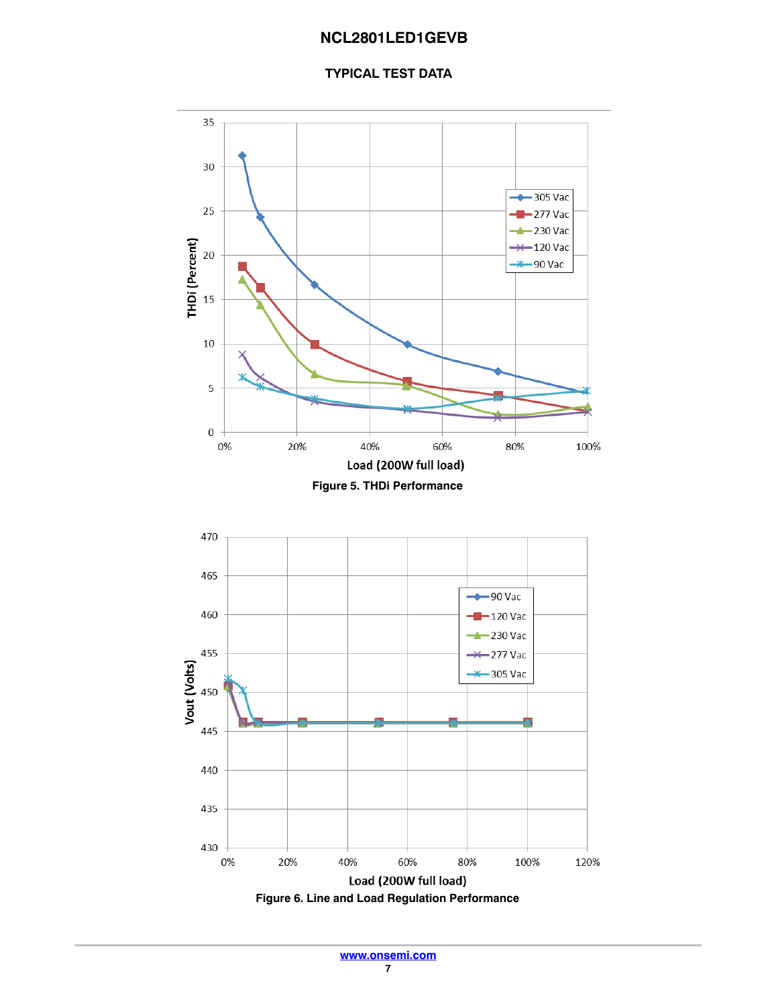### **TYPICAL TEST DATA**

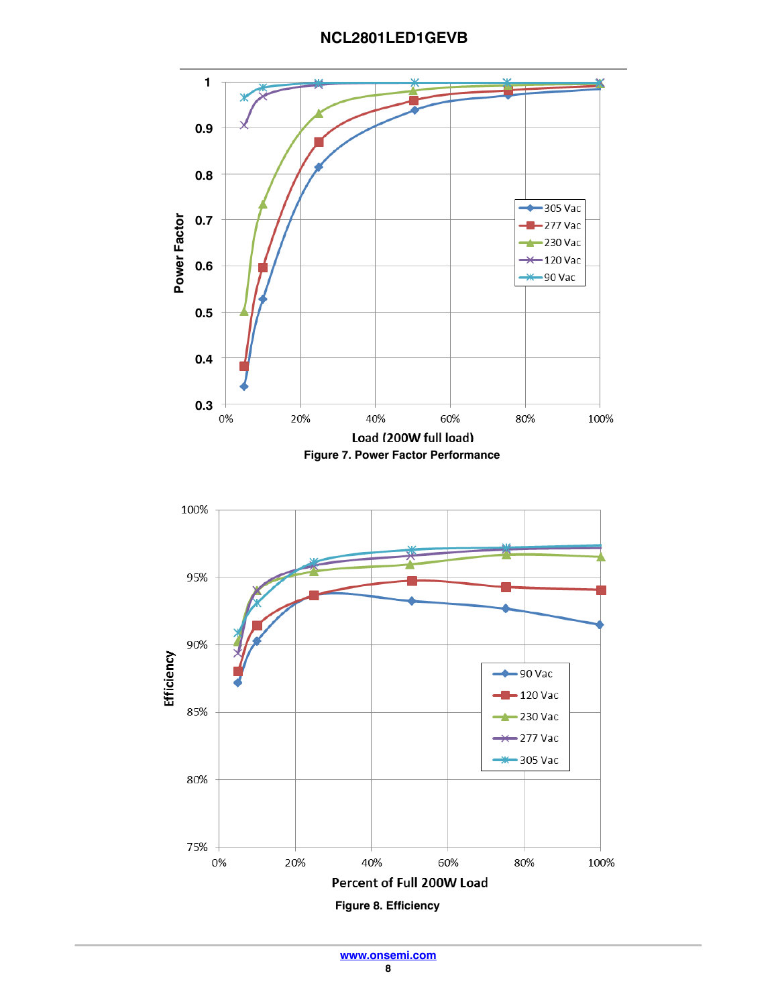**NCL2801LED1GEVB**